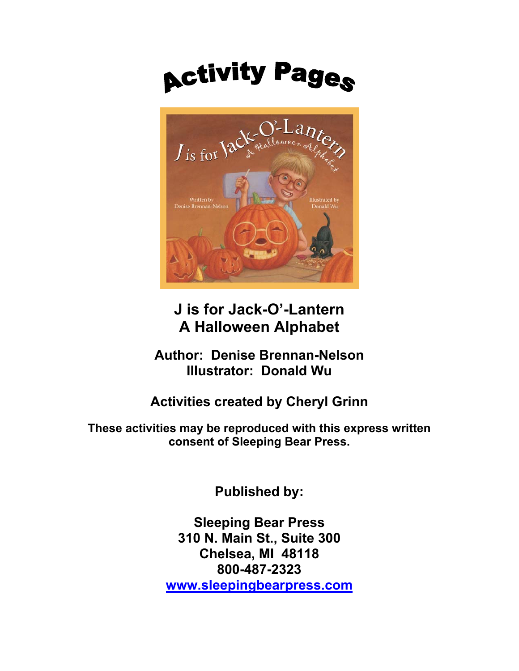# **Activity Pages**



## **J is for Jack-O'-Lantern A Halloween Alphabet**

**Author: Denise Brennan-Nelson Illustrator: Donald Wu** 

### **Activities created by Cheryl Grinn**

**These activities may be reproduced with this express written consent of Sleeping Bear Press.** 

**Published by:** 

**Sleeping Bear Press 310 N. Main St., Suite 300 Chelsea, MI 48118 800-487-2323 [www.sleepingbearpress.com](http://www.sleepingbearpress.com/)**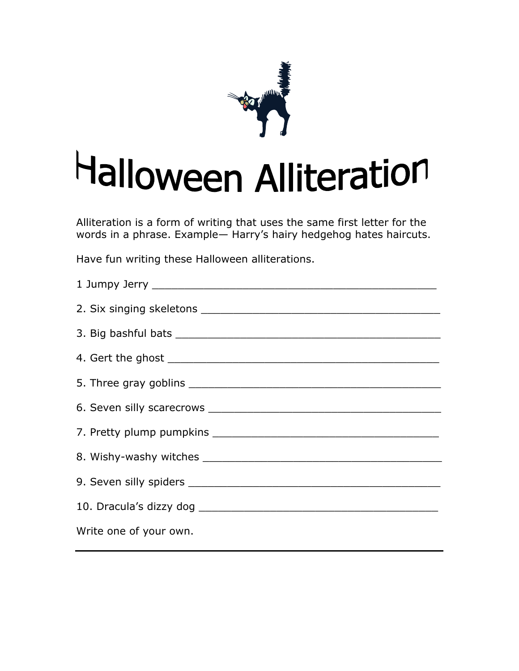

# Halloween Alliteration

Alliteration is a form of writing that uses the same first letter for the words in a phrase. Example— Harry's hairy hedgehog hates haircuts.

Have fun writing these Halloween alliterations.

| Write one of your own. |
|------------------------|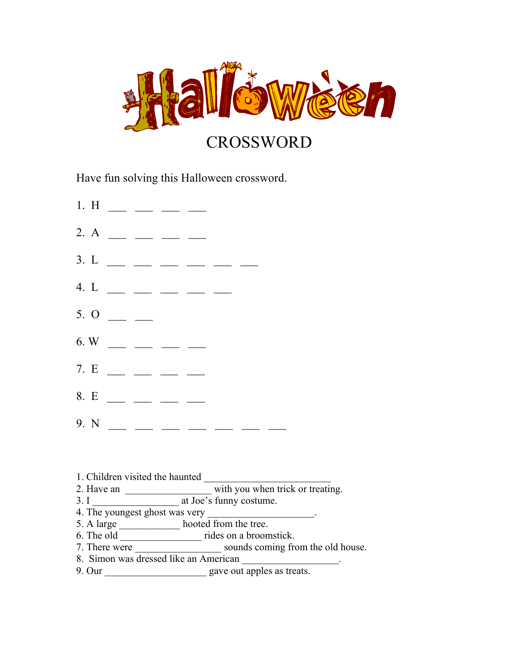

Have fun solving this Halloween crossword.

- 1. H  $\_\_$   $\_\_$   $\_\_$
- 2. A  $\_\_$   $\_\_$   $\_\_$
- $3. L$  \_ \_ \_ \_ \_ \_
- 4. L  $\_\_$   $\_\_$   $\_\_$   $\_\_$   $\_\_$   $\_\_$
- $5.0$  \_ \_
- $6. W$  \_ \_ \_ \_ \_
- $7. E$  \_\_ \_ \_ \_
- 8. E  $\_\_$   $\_\_$   $\_\_$
- $9. N \_ \_ \_ \_ \_ \_ \_ \_ \_ \_ \_ \_ \_ \_ \_ \_ \_ \_$
- 1. Children visited the haunted
- 2. Have an \_\_\_\_\_\_\_\_\_\_\_\_\_\_\_\_\_\_\_\_\_ with you when trick or treating.
- 3. I at Joe's funny costume.
- 4. The youngest ghost was very
- 5. A large \_\_\_\_\_\_\_\_\_\_\_\_ hooted from the tree.
- 6. The old \_\_\_\_\_\_\_\_\_\_\_\_\_\_\_\_ rides on a broomstick.
- 7. There were sounds coming from the old house.
- 8. Simon was dressed like an American
- 9. Our \_\_\_\_\_\_\_\_\_\_\_\_\_\_\_\_\_\_\_\_ gave out apples as treats.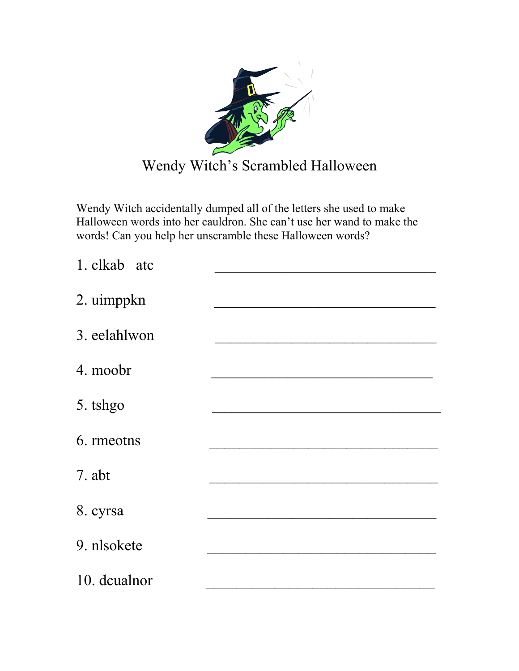

Wendy Witch accidentally dumped all of the letters she used to make Halloween words into her cauldron. She can't use her wand to make the words! Can you help her unscramble these Halloween words?

| 1. clkab atc |  |
|--------------|--|
| 2. uimppkn   |  |
| 3. eelahlwon |  |
| 4. moobr     |  |
| 5. tshgo     |  |
| 6. rmeotns   |  |
| 7. abt       |  |
| 8. cyrsa     |  |
| 9. nlsokete  |  |
| 10. dcualnor |  |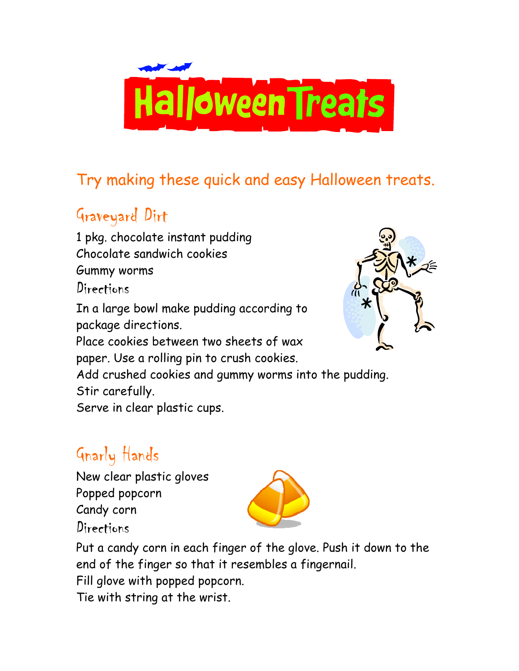

## Try making these quick and easy Halloween treats.

## Graveyard Dirt

1 pkg. chocolate instant pudding Chocolate sandwich cookies Gummy worms Directions In a large bowl make pudding according to package directions. Place cookies between two sheets of wax paper. Use a rolling pin to crush cookies. Add crushed cookies and gummy worms into the pudding. Stir carefully.

Serve in clear plastic cups.

# Gnarly Hands

New clear plastic gloves Popped popcorn Candy corn Directions



Put a candy corn in each finger of the glove. Push it down to the end of the finger so that it resembles a fingernail.

Fill glove with popped popcorn.

Tie with string at the wrist.

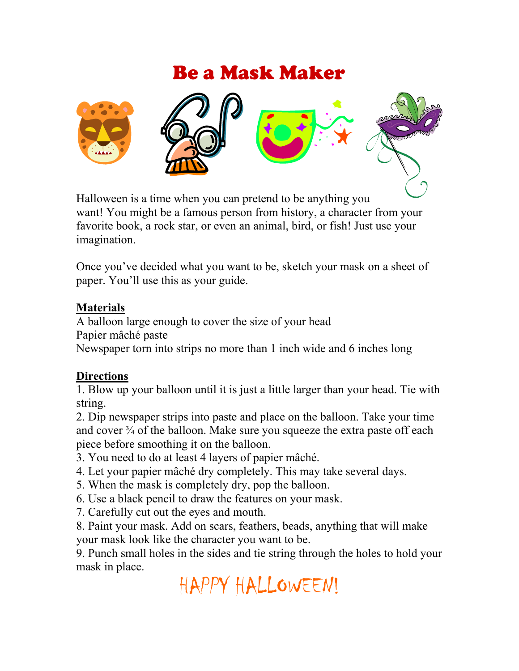## Be a Mask Maker



Halloween is a time when you can pretend to be anything y ou want! You might be a famous person from history, a character from your favorite book, a rock star, or even an animal, bird, or fish! Just use your imagination.

Once you've decided what you want to be, sketch your mask on a sheet of paper. You'll use this as your guide.

#### **Materials**

A balloon large enough to cover the size of your head Papier mâché paste Newspaper torn into strips no more than 1 inch wide and 6 inches long

#### **Directions**

1. Blow up your balloon until it is just a little larger than your head. Tie with string.

2. Dip newspaper strips into paste and place on the balloon. Take your time and cover  $\frac{3}{4}$  of the balloon. Make sure you squeeze the extra paste off each piece before smoothing it on the balloon.

3. You need to do at least 4 layers of papier mâché.

- 4. Let your papier mâché dry completely. This may take several days.
- 5. When the mask is completely dry, pop the balloon.
- 6. Use a black pencil to draw the features on your mask.
- 7. Carefully cut out the eyes and mouth.

8. Paint your mask. Add on scars, feathers, beads, anything that will make your mask look like the character you want to be.

9. Punch small holes in the sides and tie string through the holes to hold your mask in place.

HAPPY HALLOWEEN!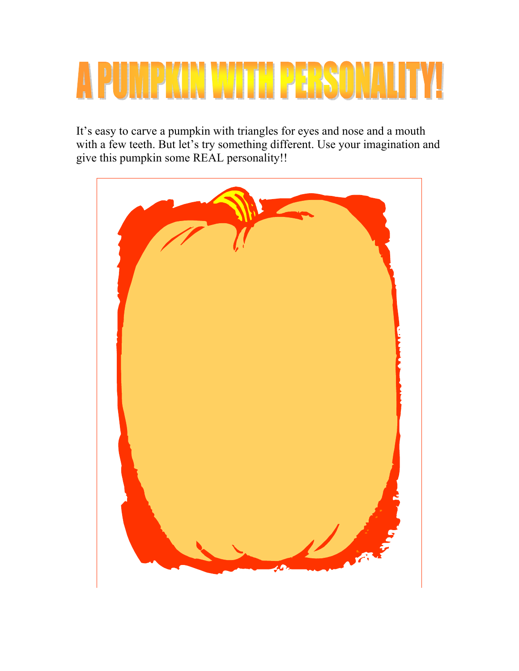# MPKIN WITH PEBSON

It's easy to carve a pumpkin with triangles for eyes and nose and a mouth with a few teeth. But let's try something different. Use your imagination and give this pumpkin some REAL personality!!

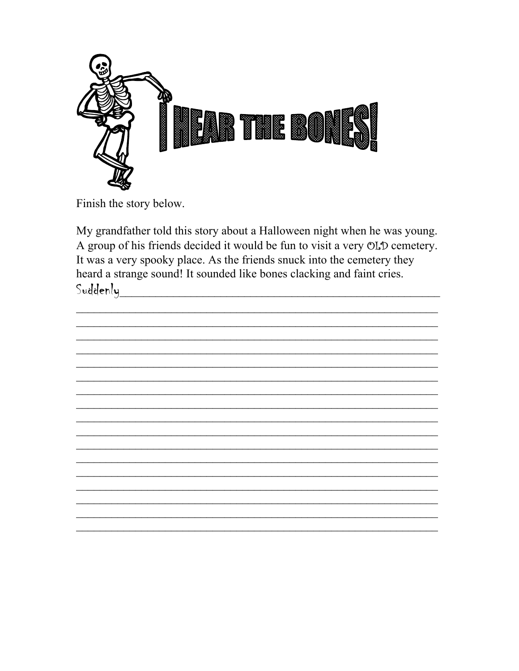

Finish the story below.

My grandfather told this story about a Halloween night when he was young. A group of his friends decided it would be fun to visit a very OLD cemetery. It was a very spooky place. As the friends snuck into the cemetery they heard a strange sound! It sounded like bones clacking and faint cries. Suddenly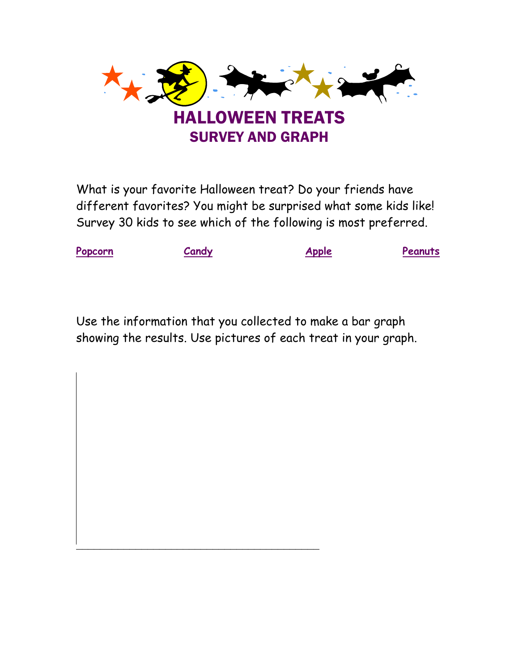

What is your favorite Halloween treat? Do your friends have different favorites? You might be surprised what some kids like! Survey 30 kids to see which of the following is most preferred.



Use the information that you collected to make a bar graph showing the results. Use pictures of each treat in your graph.

 $\mathcal{L}_\text{max}$  and  $\mathcal{L}_\text{max}$  and  $\mathcal{L}_\text{max}$  and  $\mathcal{L}_\text{max}$